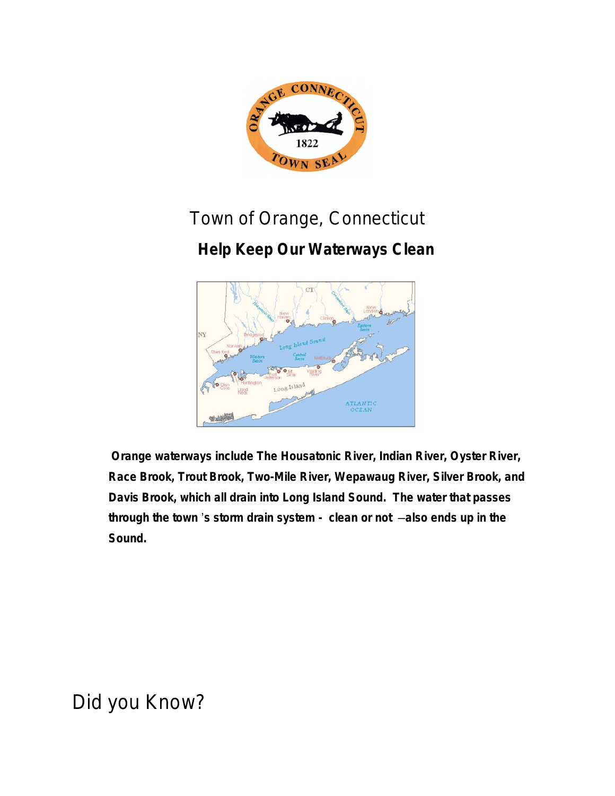

# Town of Orange, Connecticut

### **Help Keep Our Waterways Clean**



**Orange waterways include The Housatonic River, Indian River, Oyster River, Race Brook, Trout Brook, Two-Mile River, Wepawaug River, Silver Brook, and Davis Brook, which all drain into Long Island Sound. The water that passes through the town** '**s storm drain system - clean or not** —**also ends up in the Sound.**

*Did you Know?*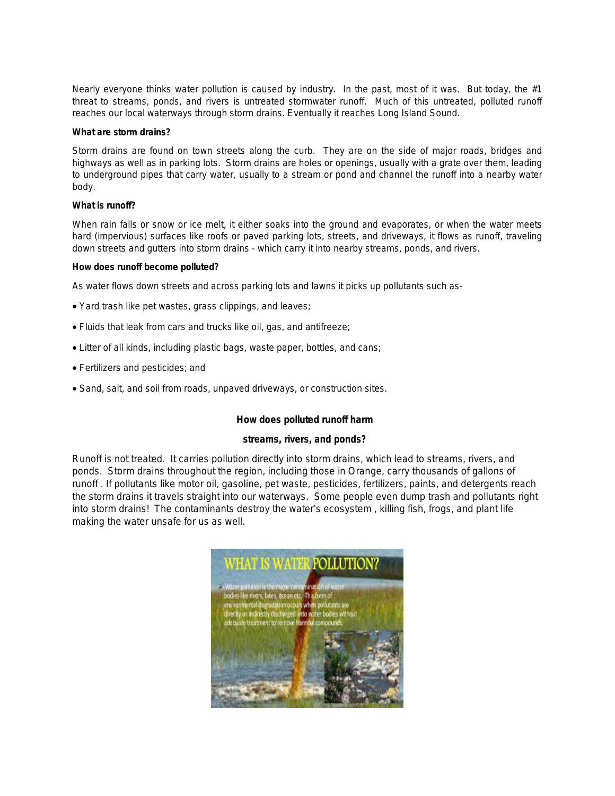Nearly everyone thinks water pollution is caused by industry. In the past, most of it was. But today, the #1 threat to streams, ponds, and rivers is untreated stormwater runoff. Much of this untreated, polluted runoff reaches our local waterways through storm drains. Eventually it reaches Long Island Sound.

#### **What are storm drains?**

Storm drains are found on town streets along the curb. They are on the side of major roads, bridges and highways as well as in parking lots. Storm drains are holes or openings, usually with a grate over them, leading to underground pipes that carry water, usually to a stream or pond and channel the runoff into a nearby water body.

#### **What is runoff?**

When rain falls or snow or ice melt, it either soaks into the ground and evaporates, or when the water meets hard (impervious) surfaces like roofs or paved parking lots, streets, and driveways, it flows as runoff, traveling down streets and gutters into storm drains - which carry it into nearby streams, ponds, and rivers.

#### **How does runoff become polluted?**

As water flows down streets and across parking lots and lawns it picks up pollutants such as-

- Yard trash like pet wastes, grass clippings, and leaves;
- Fluids that leak from cars and trucks like oil, gas, and antifreeze;
- Litter of all kinds, including plastic bags, waste paper, bottles, and cans;
- Fertilizers and pesticides; and
- Sand, salt, and soil from roads, unpaved driveways, or construction sites.

#### **How does polluted runoff harm**

#### **streams, rivers, and ponds?**

Runoff is not treated. It carries pollution directly into storm drains, which lead to streams, rivers, and ponds. Storm drains throughout the region, including those in Orange, carry thousands of gallons of runoff . If pollutants like motor oil, gasoline, pet waste, pesticides, fertilizers, paints, and detergents reach the storm drains it travels straight into our waterways. Some people even dump trash and pollutants right into storm drains! The contaminants destroy the water's ecosystem , killing fish, frogs, and plant life making the water unsafe for us as well.

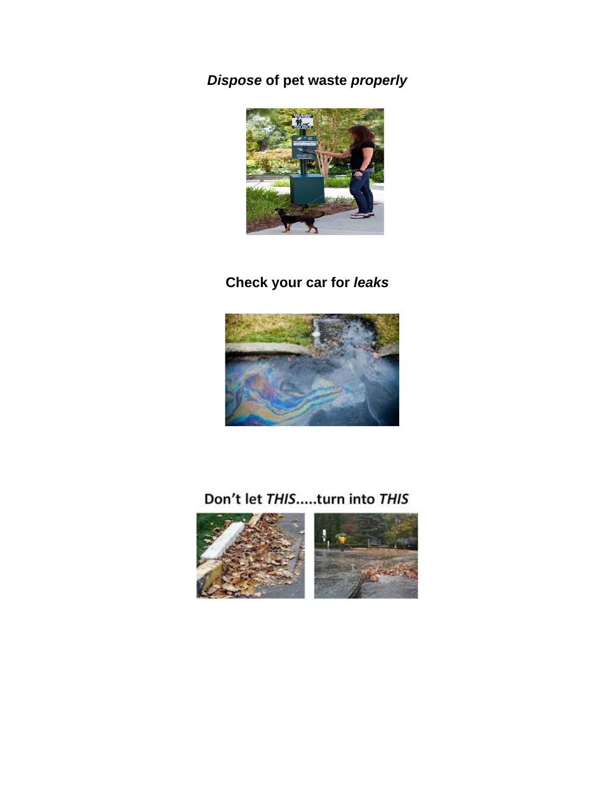*Dispose* **of pet waste** *properly*



### **Check your car for** *leaks*



### Don't let THIS.....turn into THIS